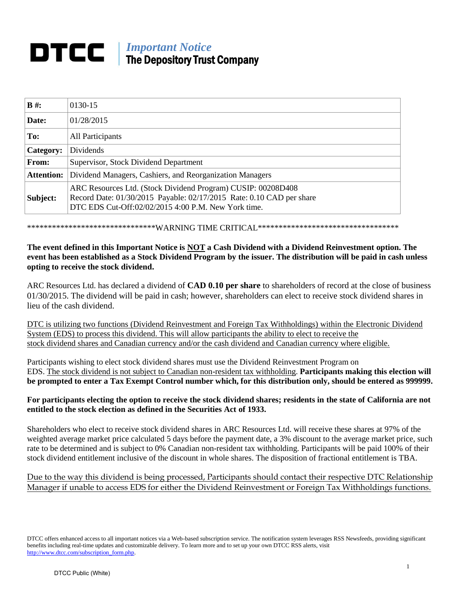# *Important Notice* The Depository Trust Company

| $B \#$ :          | 0130-15                                                                                                                                                                                     |
|-------------------|---------------------------------------------------------------------------------------------------------------------------------------------------------------------------------------------|
| Date:             | 01/28/2015                                                                                                                                                                                  |
| To:               | All Participants                                                                                                                                                                            |
| Category:         | Dividends                                                                                                                                                                                   |
| <b>From:</b>      | Supervisor, Stock Dividend Department                                                                                                                                                       |
| <b>Attention:</b> | Dividend Managers, Cashiers, and Reorganization Managers                                                                                                                                    |
| Subject:          | ARC Resources Ltd. (Stock Dividend Program) CUSIP: 00208D408<br>Record Date: 01/30/2015 Payable: 02/17/2015 Rate: 0.10 CAD per share<br>DTC EDS Cut-Off:02/02/2015 4:00 P.M. New York time. |

\*\*\*\*\*\*\*\*\*\*\*\*\*\*\*\*\*\*\*\*\*\*\*\*\*\*\*\*\*\*\*WARNING TIME CRITICAL\*\*\*\*\*\*\*\*\*\*\*\*\*\*\*\*\*\*\*\*\*\*\*\*\*\*\*\*\*\*\*\*\*\*

# **The event defined in this Important Notice is NOT a Cash Dividend with a Dividend Reinvestment option. The event has been established as a Stock Dividend Program by the issuer. The distribution will be paid in cash unless opting to receive the stock dividend.**

ARC Resources Ltd. has declared a dividend of **CAD 0.10 per share** to shareholders of record at the close of business 01/30/2015. The dividend will be paid in cash; however, shareholders can elect to receive stock dividend shares in lieu of the cash dividend.

DTC is utilizing two functions (Dividend Reinvestment and Foreign Tax Withholdings) within the Electronic Dividend System (EDS) to process this dividend. This will allow participants the ability to elect to receive the stock dividend shares and Canadian currency and/or the cash dividend and Canadian currency where eligible.

Participants wishing to elect stock dividend shares must use the Dividend Reinvestment Program on EDS. The stock dividend is not subject to Canadian non-resident tax withholding. **Participants making this election will be prompted to enter a Tax Exempt Control number which, for this distribution only, should be entered as 999999.**

### **For participants electing the option to receive the stock dividend shares; residents in the state of California are not entitled to the stock election as defined in the Securities Act of 1933.**

Shareholders who elect to receive stock dividend shares in ARC Resources Ltd. will receive these shares at 97% of the weighted average market price calculated 5 days before the payment date, a 3% discount to the average market price, such rate to be determined and is subject to 0% Canadian non-resident tax withholding. Participants will be paid 100% of their stock dividend entitlement inclusive of the discount in whole shares. The disposition of fractional entitlement is TBA.

# Due to the way this dividend is being processed, Participants should contact their respective DTC Relationship Manager if unable to access EDS for either the Dividend Reinvestment or Foreign Tax Withholdings functions.

DTCC offers enhanced access to all important notices via a Web-based subscription service. The notification system leverages RSS Newsfeeds, providing significant benefits including real-time updates and customizable delivery. To learn more and to set up your own DTCC RSS alerts, visit [http://www.dtcc.com/subscription\\_form.php.](http://www.dtcc.com/subscription_form.php)